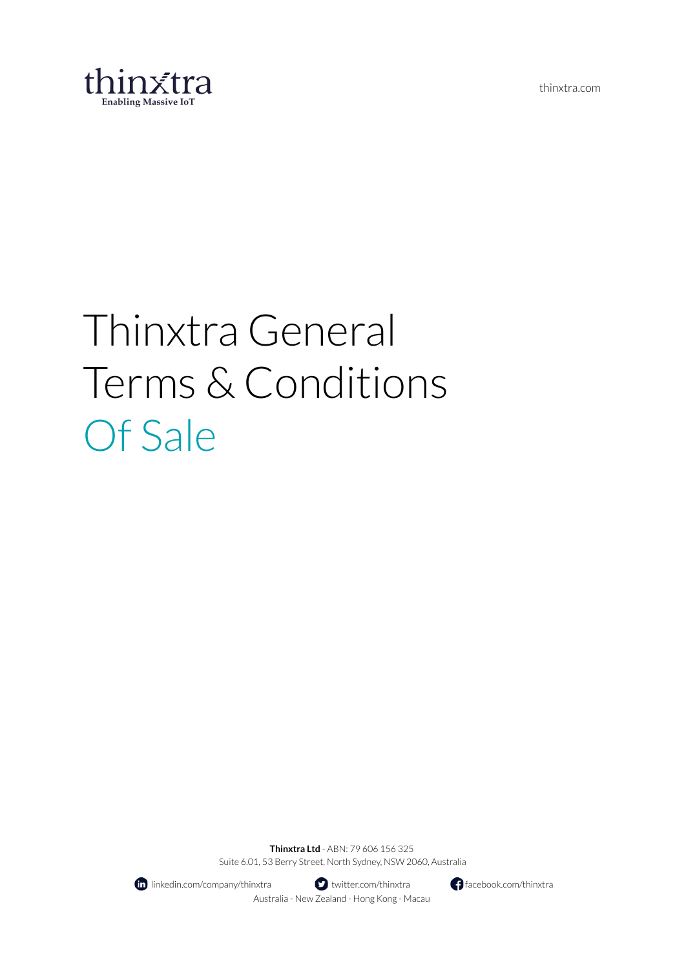thinxtra.com



# Thinxtra General Terms & Conditions Of Sale

**Thinxtra Ltd** - ABN: 79 606 156 325 Suite 6.01, 53 Berry Street, North Sydney, NSW 2060, Australia



**fo** linkedin.com/company/thinxtra **the set of the set of the facebook.com/thinxtra** facebook.com/thinxtra Australia - New Zealand - Hong Kong - Macau

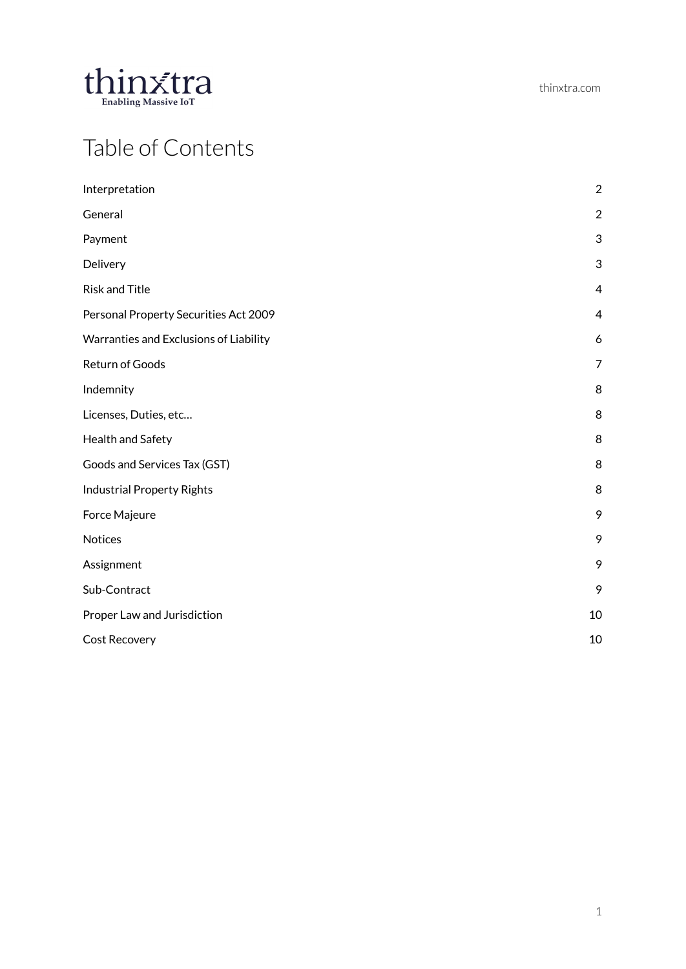

# Table of Contents

| Interpretation                         | $\overline{2}$   |
|----------------------------------------|------------------|
| General                                | $\boldsymbol{2}$ |
| Payment                                | 3                |
| Delivery                               | 3                |
| <b>Risk and Title</b>                  | $\overline{4}$   |
| Personal Property Securities Act 2009  | $\overline{4}$   |
| Warranties and Exclusions of Liability | 6                |
| Return of Goods                        | 7                |
| Indemnity                              | 8                |
| Licenses, Duties, etc                  | 8                |
| Health and Safety                      | 8                |
| Goods and Services Tax (GST)           | 8                |
| <b>Industrial Property Rights</b>      | 8                |
| Force Majeure                          | 9                |
| Notices                                | 9                |
| Assignment                             | 9                |
| Sub-Contract                           | 9                |
| Proper Law and Jurisdiction            | 10               |
| <b>Cost Recovery</b>                   | 10               |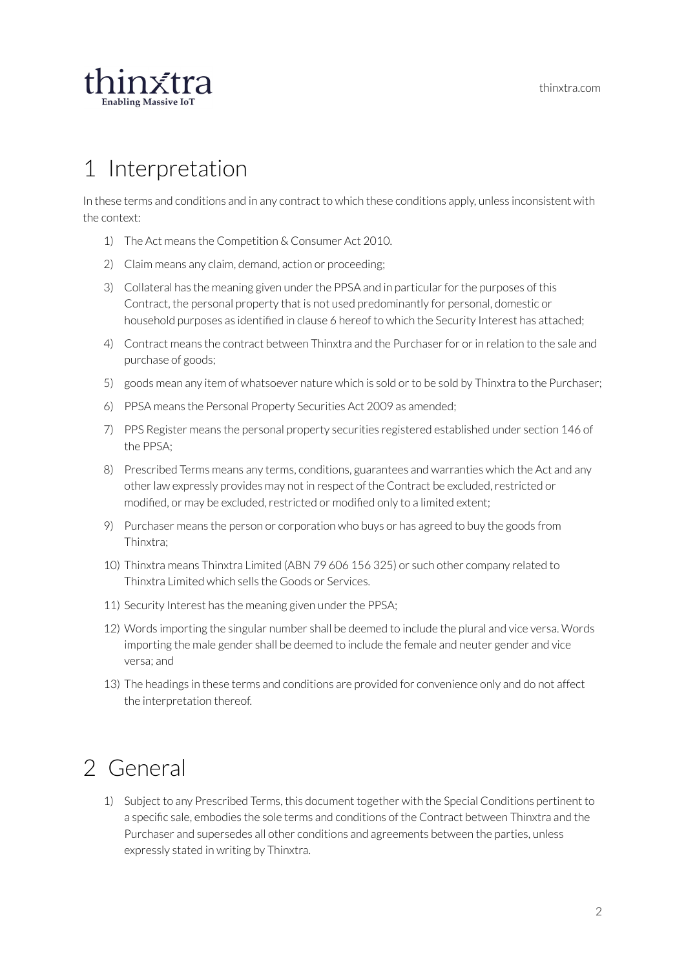

## <span id="page-2-0"></span>1 Interpretation

In these terms and conditions and in any contract to which these conditions apply, unless inconsistent with the context:

- 1) The Act means the Competition & Consumer Act 2010.
- 2) Claim means any claim, demand, action or proceeding;
- 3) Collateral has the meaning given under the PPSA and in particular for the purposes of this Contract, the personal property that is not used predominantly for personal, domestic or household purposes as identified in clause 6 hereof to which the Security Interest has attached;
- 4) Contract means the contract between Thinxtra and the Purchaser for or in relation to the sale and purchase of goods;
- 5) goods mean any item of whatsoever nature which is sold orto be sold by Thinxtra to the Purchaser;
- 6) PPSA means the Personal Property Securities Act 2009 as amended;
- 7) PPS Register means the personal property securities registered established under section 146 of the PPSA;
- 8) Prescribed Terms means any terms, conditions, guarantees and warranties which the Act and any other law expressly provides may not in respect of the Contract be excluded, restricted or modified, or may be excluded, restricted or modified only to a limited extent;
- 9) Purchaser means the person or corporation who buys or has agreed to buy the goods from Thinxtra;
- 10) Thinxtra means Thinxtra Limited (ABN 79 606 156 325) or such other company related to Thinxtra Limited which sells the Goods or Services.
- 11) Security Interest has the meaning given under the PPSA;
- 12) Words importing the singular number shall be deemed to include the plural and vice versa. Words importing the male gender shall be deemed to include the female and neuter gender and vice versa; and
- 13) The headings in these terms and conditions are provided for convenience only and do not affect the interpretation thereof.

## <span id="page-2-1"></span>2 General

1) Subject to any Prescribed Terms, this document together with the Special Conditions pertinent to a specific sale, embodies the sole terms and conditions of the Contract between Thinxtra and the Purchaser and supersedes all other conditions and agreements between the parties, unless expressly stated in writing by Thinxtra.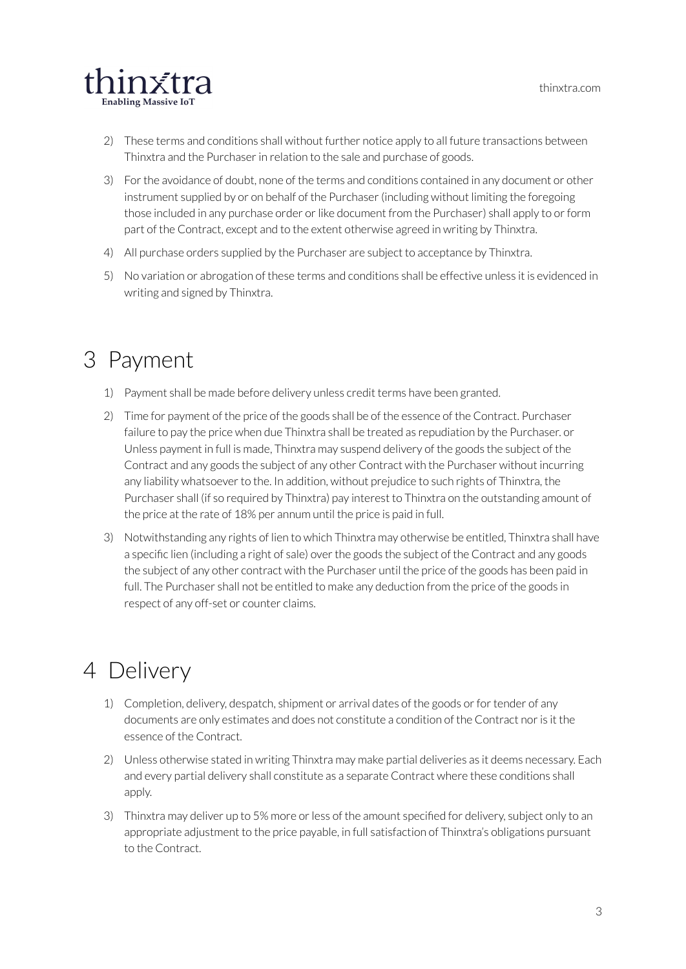

- 2) These terms and conditions shall without further notice apply to all future transactions between Thinxtra and the Purchaserin relation to the sale and purchase of goods.
- 3) Forthe avoidance of doubt, none of the terms and conditions contained in any document or other instrument supplied by or on behalf of the Purchaser (including without limiting the foregoing those included in any purchase order orlike document from the Purchaser) shall apply to orform part of the Contract, except and to the extent otherwise agreed in writing by Thinxtra.
- 4) All purchase orders supplied by the Purchaser are subject to acceptance by Thinxtra.
- 5) No variation or abrogation of these terms and conditions shall be effective unless it is evidenced in writing and signed by Thinxtra.

## <span id="page-3-0"></span>3 Payment

- 1) Payment shall be made before delivery unless credit terms have been granted.
- 2) Time for payment of the price of the goods shall be of the essence of the Contract. Purchaser failure to pay the price when due Thinxtra shall be treated as repudiation by the Purchaser. or Unless payment in full is made, Thinxtra may suspend delivery of the goods the subject of the Contract and any goods the subject of any other Contract with the Purchaser without incurring any liability whatsoever to the. In addition, without prejudice to such rights of Thinxtra, the Purchaser shall (if so required by Thinxtra) pay interest to Thinxtra on the outstanding amount of the price at the rate of 18% per annum until the price is paid in full.
- 3) Notwithstanding any rights of lien to which Thinxtra may otherwise be entitled, Thinxtra shall have a specific lien (including a right of sale) over the goods the subject of the Contract and any goods the subject of any other contract with the Purchaser until the price of the goods has been paid in full. The Purchaser shall not be entitled to make any deduction from the price of the goods in respect of any off-set or counter claims.

# <span id="page-3-1"></span>4 Delivery

- 1) Completion, delivery, despatch, shipment or arrival dates of the goods or for tender of any documents are only estimates and does not constitute a condition of the Contract noris it the essence of the Contract.
- 2) Unless otherwise stated in writing Thinxtra may make partial deliveries as it deems necessary. Each and every partial delivery shall constitute as a separate Contract where these conditions shall apply.
- 3) Thinxtra may deliver up to 5% more orless of the amount specified for delivery, subject only to an appropriate adjustment to the price payable, in full satisfaction of Thinxtra's obligations pursuant to the Contract.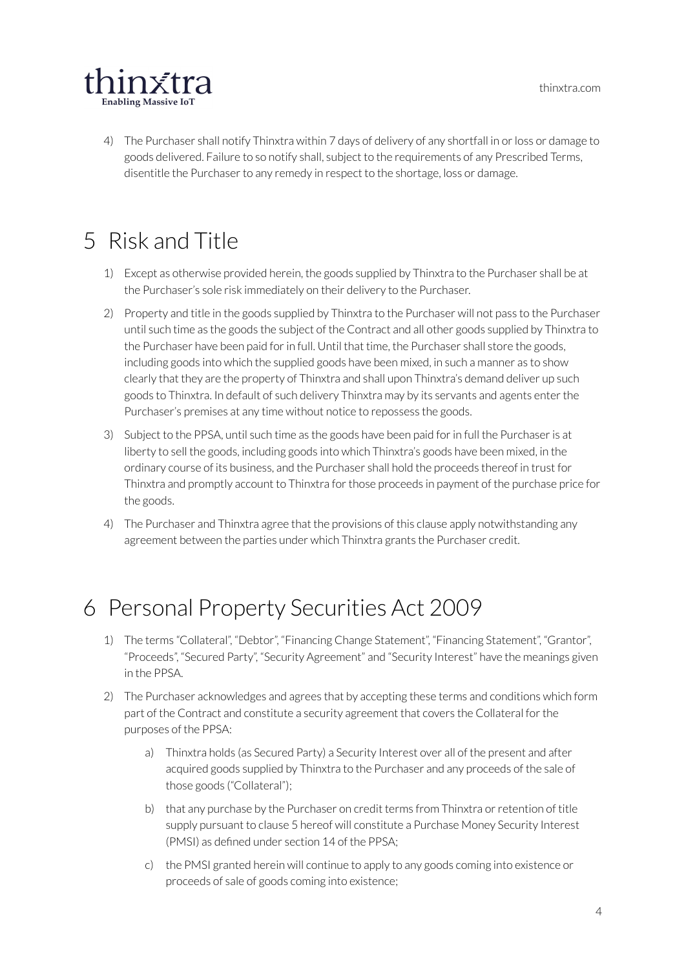

4) The Purchaser shall notify Thinxtra within 7 days of delivery of any shortfall in orloss or damage to goods delivered. Failure to so notify shall, subject to the requirements of any Prescribed Terms, disentitle the Purchaserto any remedy in respect to the shortage, loss or damage.

# <span id="page-4-0"></span>5 Risk and Title

- 1) Except as otherwise provided herein, the goods supplied by Thinxtra to the Purchaser shall be at the Purchaser's sole risk immediately on their delivery to the Purchaser.
- 2) Property and title in the goods supplied by Thinxtra to the Purchaser will not pass to the Purchaser until such time as the goods the subject of the Contract and all other goods supplied by Thinxtra to the Purchaser have been paid for in full. Until that time, the Purchaser shall store the goods, including goods into which the supplied goods have been mixed, in such a manner as to show clearly that they are the property of Thinxtra and shall upon Thinxtra's demand deliver up such goods to Thinxtra. In default of such delivery Thinxtra may by its servants and agents enter the Purchaser's premises at any time without notice to repossess the goods.
- 3) Subject to the PPSA, until such time as the goods have been paid forin full the Purchaseris at liberty to sell the goods, including goods into which Thinxtra's goods have been mixed, in the ordinary course of its business, and the Purchaser shall hold the proceeds thereof in trust for Thinxtra and promptly account to Thinxtra for those proceeds in payment of the purchase price for the goods.
- 4) The Purchaser and Thinxtra agree that the provisions of this clause apply notwithstanding any agreement between the parties under which Thinxtra grants the Purchaser credit.

## <span id="page-4-1"></span>6 Personal Property Securities Act 2009

- 1) The terms "Collateral", "Debtor", "Financing Change Statement", "Financing Statement", "Grantor", "Proceeds", "Secured Party", "Security Agreement" and "Security Interest" have the meanings given in the PPSA.
- 2) The Purchaser acknowledges and agrees that by accepting these terms and conditions which form part of the Contract and constitute a security agreement that covers the Collateral forthe purposes of the PPSA:
	- a) Thinxtra holds (as Secured Party) a Security Interest over all of the present and after acquired goods supplied by Thinxtra to the Purchaser and any proceeds of the sale of those goods ("Collateral");
	- b) that any purchase by the Purchaser on credit terms from Thinxtra or retention of title supply pursuant to clause 5 hereof will constitute a Purchase Money Security Interest (PMSI) as defined under section 14 of the PPSA;
	- c) the PMSI granted herein will continue to apply to any goods coming into existence or proceeds of sale of goods coming into existence;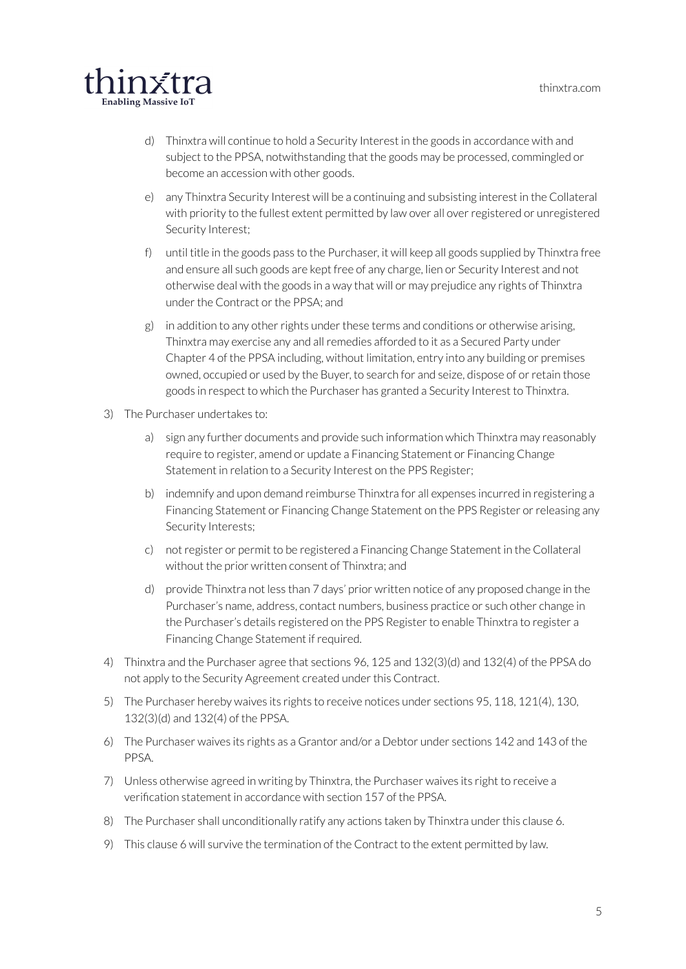

- d) Thinxtra will continue to hold a Security Interest in the goods in accordance with and subject to the PPSA, notwithstanding that the goods may be processed, commingled or become an accession with other goods.
- e) any Thinxtra Security Interest will be a continuing and subsisting interest in the Collateral with priority to the fullest extent permitted by law over all overregistered or unregistered Security Interest;
- f) until title in the goods pass to the Purchaser, it will keep all goods supplied by Thinxtra free and ensure all such goods are kept free of any charge, lien or Security Interest and not otherwise deal with the goods in a way that will or may prejudice any rights of Thinxtra under the Contract or the PPSA; and
- $g$ ) in addition to any other rights under these terms and conditions or otherwise arising, Thinxtra may exercise any and allremedies afforded to it as a Secured Party under Chapter 4 of the PPSA including, without limitation, entry into any building or premises owned, occupied or used by the Buyer, to search for and seize, dispose of orretain those goods in respect to which the Purchaser has granted a Security Interest to Thinxtra.
- 3) The Purchaser undertakes to:
	- a) sign any further documents and provide such information which Thinxtra may reasonably require to register, amend or update a Financing Statement or Financing Change Statement in relation to a Security Interest on the PPS Register;
	- b) indemnify and upon demand reimburse Thinxtra for all expenses incurred in registering a Financing Statement or Financing Change Statement on the PPS Register orreleasing any Security Interests;
	- c) notregister or permit to be registered a Financing Change Statement in the Collateral without the prior written consent of Thinxtra; and
	- d) provide Thinxtra not less than 7 days' prior written notice of any proposed change in the Purchaser's name, address, contact numbers, business practice or such other change in the Purchaser's details registered on the PPS Register to enable Thinxtra to register a Financing Change Statement if required.
- 4) Thinxtra and the Purchaser agree that sections 96, 125 and 132(3)(d) and 132(4) of the PPSA do not apply to the Security Agreement created under this Contract.
- 5) The Purchaser hereby waives its rights to receive notices under sections 95, 118, 121(4), 130, 132(3)(d) and 132(4) of the PPSA.
- 6) The Purchaser waives its rights as a Grantor and/or a Debtor under sections 142 and 143 of the PPSA.
- 7) Unless otherwise agreed in writing by Thinxtra, the Purchaser waives its right to receive a verification statement in accordance with section 157 of the PPSA.
- 8) The Purchaser shall unconditionally ratify any actions taken by Thinxtra under this clause 6.
- 9) This clause 6 will survive the termination of the Contract to the extent permitted by law.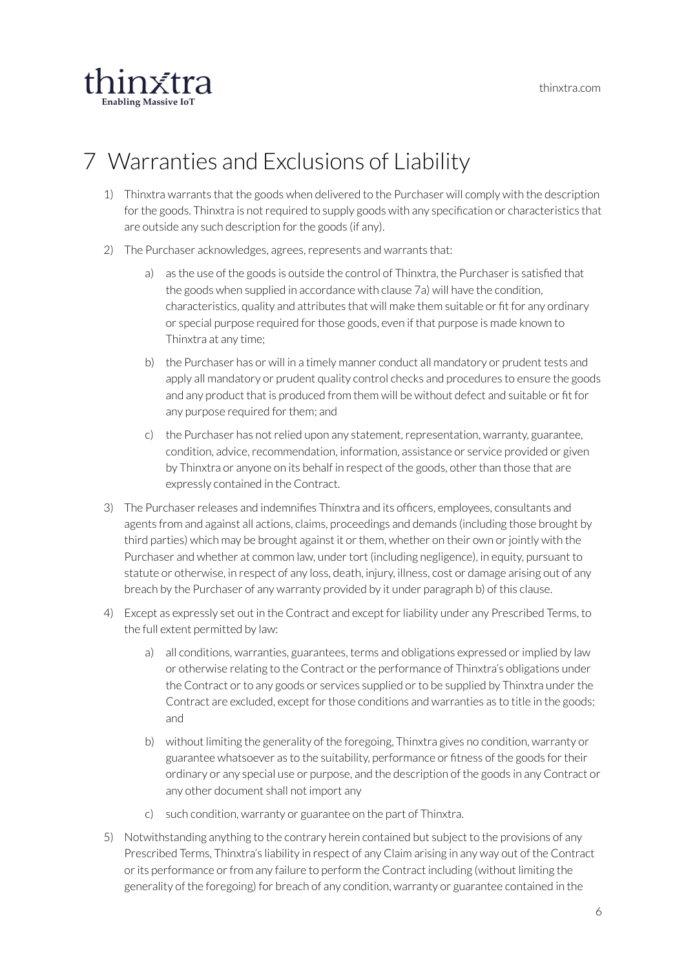

# <span id="page-6-0"></span>7 Warranties and Exclusions of Liability

- 1) Thinxtra warrants that the goods when delivered to the Purchaser will comply with the description for the goods. Thinxtra is not required to supply goods with any specification or characteristics that are outside any such description for the goods (if any).
- 2) The Purchaser acknowledges, agrees, represents and warrants that:
	- a) as the use of the goods is outside the control of Thinxtra, the Purchaser is satisfied that the goods when supplied in accordance with clause 7a) will have the condition, characteristics, quality and attributes that will make them suitable or fit for any ordinary or special purpose required forthose goods, even if that purpose is made known to Thinxtra at any time;
	- b) the Purchaser has or will in a timely manner conduct all mandatory or prudent tests and apply all mandatory or prudent quality control checks and procedures to ensure the goods and any product that is produced from them will be without defect and suitable or fit for any purpose required for them; and
	- c) the Purchaser has not relied upon any statement, representation, warranty, guarantee, condition, advice, recommendation, information, assistance or service provided or given by Thinxtra or anyone on its behalf in respect of the goods, other than those that are expressly contained in the Contract.
- 3) The Purchaserreleases and indemnifies Thinxtra and its officers, employees, consultants and agents from and against all actions, claims, proceedings and demands (including those brought by third parties) which may be brought against it or them, whether on their own or jointly with the Purchaser and whether at common law, under tort (including negligence), in equity, pursuant to statute or otherwise, in respect of any loss, death, injury, illness, cost or damage arising out of any breach by the Purchaser of any warranty provided by it under paragraph b) of this clause.
- 4) Except as expressly set out in the Contract and except forliability under any Prescribed Terms, to the full extent permitted by law:
	- a) all conditions, warranties, guarantees, terms and obligations expressed or implied by law or otherwise relating to the Contract or the performance of Thinxtra's obligations under the Contract or to any goods or services supplied or to be supplied by Thinxtra under the Contract are excluded, except for those conditions and warranties as to title in the goods; and
	- b) without limiting the generality of the foregoing, Thinxtra gives no condition, warranty or guarantee whatsoever as to the suitability, performance or fitness of the goods fortheir ordinary or any special use or purpose, and the description of the goods in any Contract or any other document shall not import any
	- c) such condition, warranty or guarantee on the part of Thinxtra.
- 5) Notwithstanding anything to the contrary herein contained but subject to the provisions of any Prescribed Terms, Thinxtra's liability in respect of any Claim arising in any way out of the Contract or its performance or from any failure to perform the Contract including (without limiting the generality of the foregoing) for breach of any condition, warranty or guarantee contained in the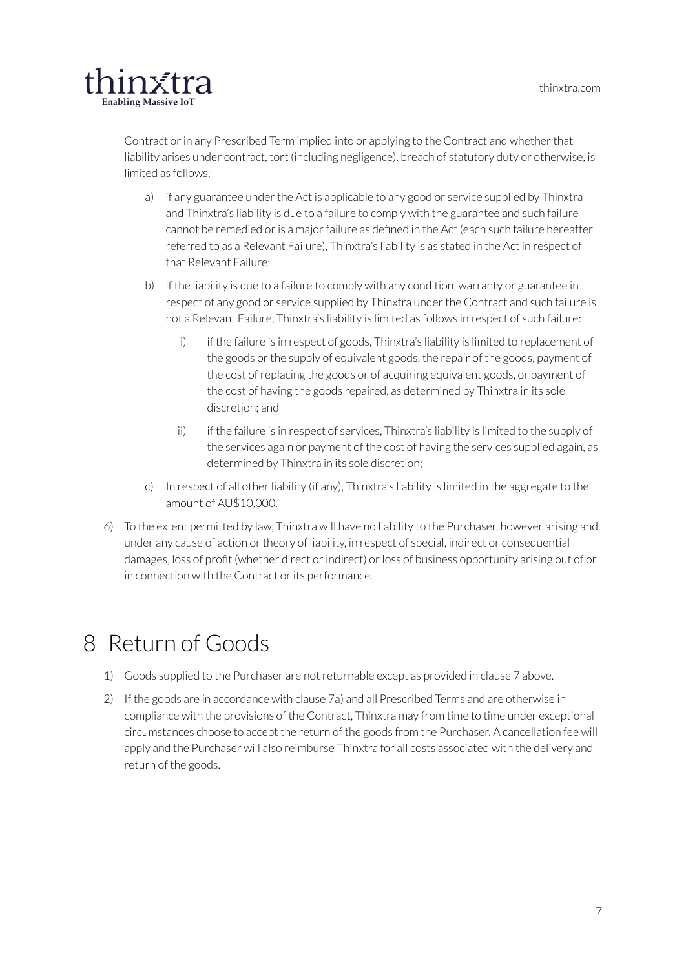

Contract or in any Prescribed Term implied into or applying to the Contract and whether that liability arises under contract, tort (including negligence), breach of statutory duty or otherwise, is limited as follows:

- a) if any guarantee under the Act is applicable to any good or service supplied by Thinxtra and Thinxtra's liability is due to a failure to comply with the guarantee and such failure cannot be remedied or is a major failure as defined in the Act (each such failure hereafter referred to as a Relevant Failure), Thinxtra's liability is as stated in the Act in respect of that Relevant Failure;
- b) if the liability is due to a failure to comply with any condition, warranty or guarantee in respect of any good or service supplied by Thinxtra under the Contract and such failure is not a Relevant Failure, Thinxtra's liability is limited as follows in respect of such failure:
	- i) if the failure is in respect of goods, Thinxtra's liability is limited to replacement of the goods or the supply of equivalent goods, the repair of the goods, payment of the cost of replacing the goods or of acquiring equivalent goods, or payment of the cost of having the goods repaired, as determined by Thinxtra in its sole discretion; and
	- ii) if the failure is in respect of services, Thinxtra's liability is limited to the supply of the services again or payment of the cost of having the services supplied again, as determined by Thinxtra in its sole discretion;
- c) In respect of all other liability (if any), Thinxtra's liability is limited in the aggregate to the amount of AU\$10,000.
- 6) To the extent permitted by law, Thinxtra will have no liability to the Purchaser, however arising and under any cause of action or theory of liability, in respect of special, indirect or consequential damages, loss of profit (whether direct or indirect) or loss of business opportunity arising out of or in connection with the Contract or its performance.

## <span id="page-7-0"></span>8 Return of Goods

- 1) Goods supplied to the Purchaser are notreturnable except as provided in clause 7 above.
- 2) If the goods are in accordance with clause 7a) and all Prescribed Terms and are otherwise in compliance with the provisions of the Contract, Thinxtra may from time to time under exceptional circumstances choose to accept the return of the goods from the Purchaser. A cancellation fee will apply and the Purchaser will also reimburse Thinxtra for all costs associated with the delivery and return of the goods.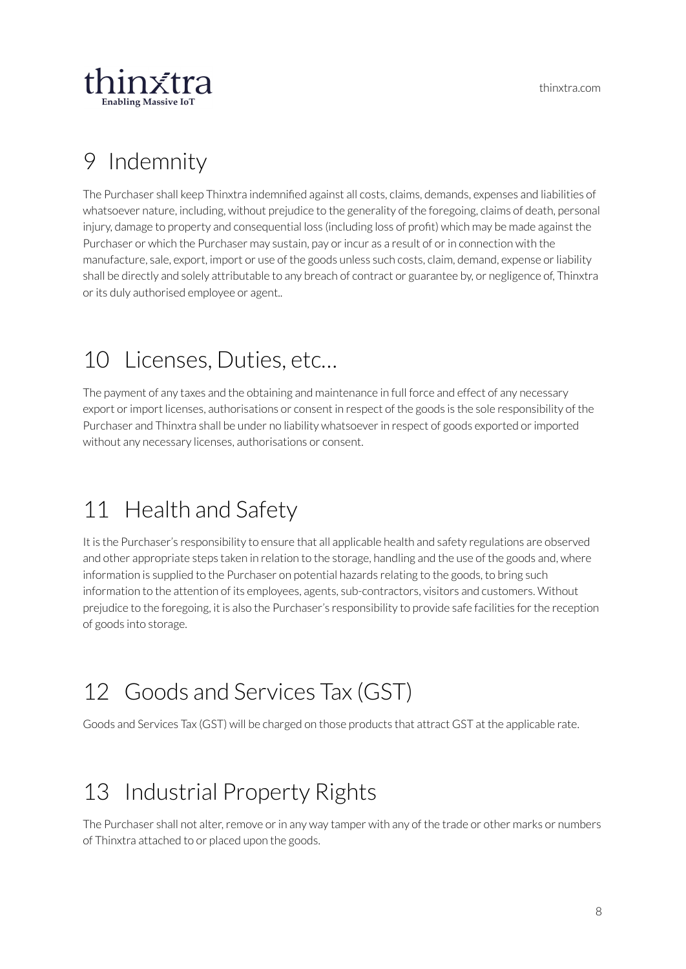

# <span id="page-8-0"></span>9 Indemnity

The Purchaser shall keep Thinxtra indemnified against all costs, claims, demands, expenses and liabilities of whatsoever nature, including, without prejudice to the generality of the foregoing, claims of death, personal injury, damage to property and consequential loss (including loss of profit) which may be made against the Purchaser or which the Purchaser may sustain, pay or incur as a result of or in connection with the manufacture, sale, export, import or use of the goods unless such costs, claim, demand, expense orliability shall be directly and solely attributable to any breach of contract or guarantee by, or negligence of, Thinxtra or its duly authorised employee or agent..

#### <span id="page-8-1"></span>10 Licenses, Duties, etc…

The payment of any taxes and the obtaining and maintenance in full force and effect of any necessary export orimport licenses, authorisations or consent in respect of the goods is the sole responsibility of the Purchaser and Thinxtra shall be under no liability whatsoever in respect of goods exported or imported without any necessary licenses, authorisations or consent.

## <span id="page-8-2"></span>11 Health and Safety

It is the Purchaser's responsibility to ensure that all applicable health and safety regulations are observed and other appropriate steps taken in relation to the storage, handling and the use of the goods and, where information is supplied to the Purchaser on potential hazards relating to the goods, to bring such information to the attention of its employees, agents, sub-contractors, visitors and customers. Without prejudice to the foregoing, it is also the Purchaser's responsibility to provide safe facilities forthe reception of goods into storage.

# <span id="page-8-3"></span>12 Goods and Services Tax (GST)

Goods and Services Tax (GST) will be charged on those products that attract GST at the applicable rate.

# <span id="page-8-4"></span>13 Industrial Property Rights

The Purchaser shall not alter, remove or in any way tamper with any of the trade or other marks or numbers of Thinxtra attached to or placed upon the goods.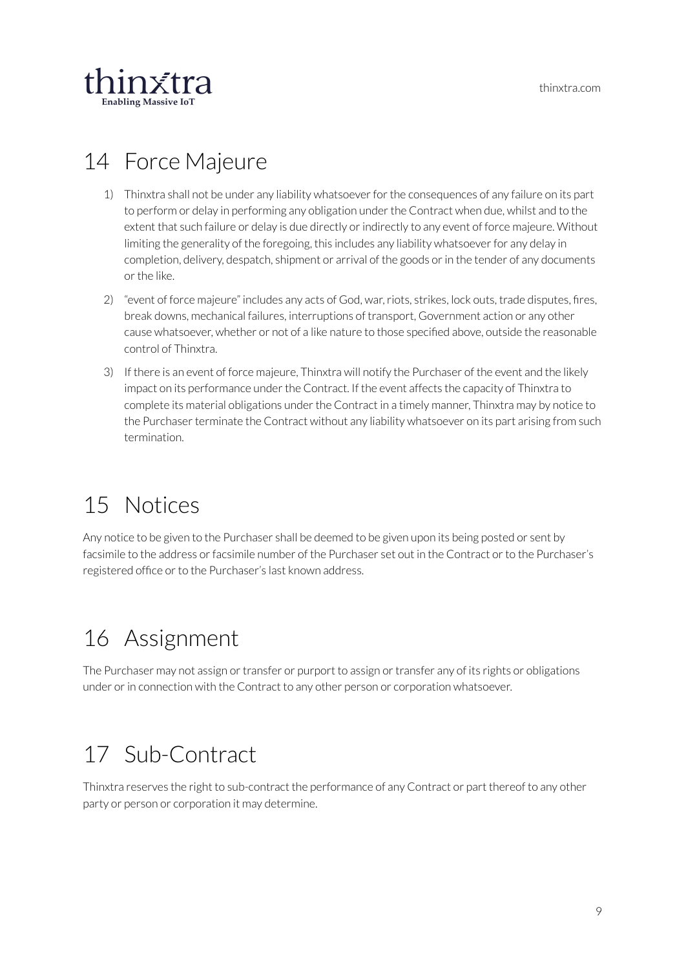

# <span id="page-9-0"></span>14 Force Majeure

- 1) Thinxtra shall not be under any liability whatsoever for the consequences of any failure on its part to perform or delay in performing any obligation under the Contract when due, whilst and to the extent that such failure or delay is due directly or indirectly to any event of force majeure. Without limiting the generality of the foregoing, this includes any liability whatsoever for any delay in completion, delivery, despatch, shipment or arrival of the goods or in the tender of any documents orthe like.
- 2) "event of force majeure" includes any acts of God, war, riots, strikes, lock outs, trade disputes, fires, break downs, mechanical failures, interruptions of transport, Government action or any other cause whatsoever, whether or not of a like nature to those specified above, outside the reasonable control of Thinxtra.
- 3) If there is an event of force majeure, Thinxtra will notify the Purchaser of the event and the likely impact on its performance under the Contract. If the event affects the capacity of Thinxtra to complete its material obligations under the Contract in a timely manner, Thinxtra may by notice to the Purchaser terminate the Contract without any liability whatsoever on its part arising from such termination.

# <span id="page-9-1"></span>15 Notices

Any notice to be given to the Purchaser shall be deemed to be given upon its being posted or sent by facsimile to the address or facsimile number of the Purchaser set out in the Contract or to the Purchaser's registered office or to the Purchaser's last known address.

# <span id="page-9-2"></span>16 Assignment

The Purchaser may not assign or transfer or purport to assign or transfer any of its rights or obligations under orin connection with the Contract to any other person or corporation whatsoever.

# <span id="page-9-3"></span>17 Sub-Contract

Thinxtra reserves the right to sub-contract the performance of any Contract or part thereof to any other party or person or corporation it may determine.